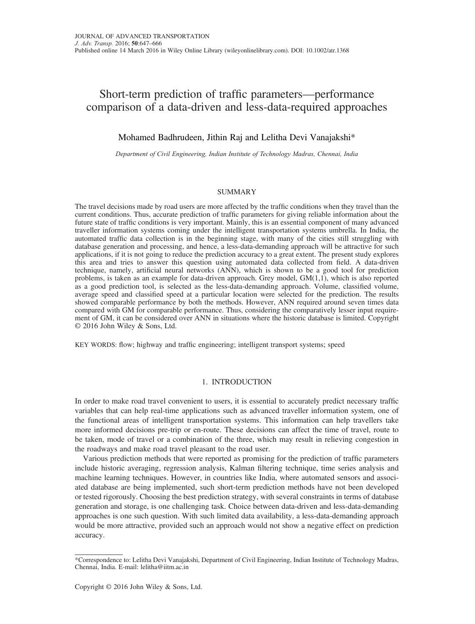# Short-term prediction of traffic parameters—performance comparison of a data-driven and less-data-required approaches

# Mohamed Badhrudeen, Jithin Raj and Lelitha Devi Vanajakshi\*

Department of Civil Engineering, Indian Institute of Technology Madras, Chennai, India

## SUMMARY

The travel decisions made by road users are more affected by the traffic conditions when they travel than the current conditions. Thus, accurate prediction of traffic parameters for giving reliable information about the future state of traffic conditions is very important. Mainly, this is an essential component of many advanced traveller information systems coming under the intelligent transportation systems umbrella. In India, the automated traffic data collection is in the beginning stage, with many of the cities still struggling with database generation and processing, and hence, a less-data-demanding approach will be attractive for such applications, if it is not going to reduce the prediction accuracy to a great extent. The present study explores this area and tries to answer this question using automated data collected from field. A data-driven technique, namely, artificial neural networks (ANN), which is shown to be a good tool for prediction problems, is taken as an example for data-driven approach. Grey model, GM(1,1), which is also reported as a good prediction tool, is selected as the less-data-demanding approach. Volume, classified volume, average speed and classified speed at a particular location were selected for the prediction. The results showed comparable performance by both the methods. However, ANN required around seven times data compared with GM for comparable performance. Thus, considering the comparatively lesser input requirement of GM, it can be considered over ANN in situations where the historic database is limited. Copyright © 2016 John Wiley & Sons, Ltd.

KEY WORDS: flow; highway and traffic engineering; intelligent transport systems; speed

## 1. INTRODUCTION

In order to make road travel convenient to users, it is essential to accurately predict necessary traffic variables that can help real-time applications such as advanced traveller information system, one of the functional areas of intelligent transportation systems. This information can help travellers take more informed decisions pre-trip or en-route. These decisions can affect the time of travel, route to be taken, mode of travel or a combination of the three, which may result in relieving congestion in the roadways and make road travel pleasant to the road user.

Various prediction methods that were reported as promising for the prediction of traffic parameters include historic averaging, regression analysis, Kalman filtering technique, time series analysis and machine learning techniques. However, in countries like India, where automated sensors and associated database are being implemented, such short-term prediction methods have not been developed or tested rigorously. Choosing the best prediction strategy, with several constraints in terms of database generation and storage, is one challenging task. Choice between data-driven and less-data-demanding approaches is one such question. With such limited data availability, a less-data-demanding approach would be more attractive, provided such an approach would not show a negative effect on prediction accuracy.

<sup>\*</sup>Correspondence to: Lelitha Devi Vanajakshi, Department of Civil Engineering, Indian Institute of Technology Madras, Chennai, India. E-mail: lelitha@iitm.ac.in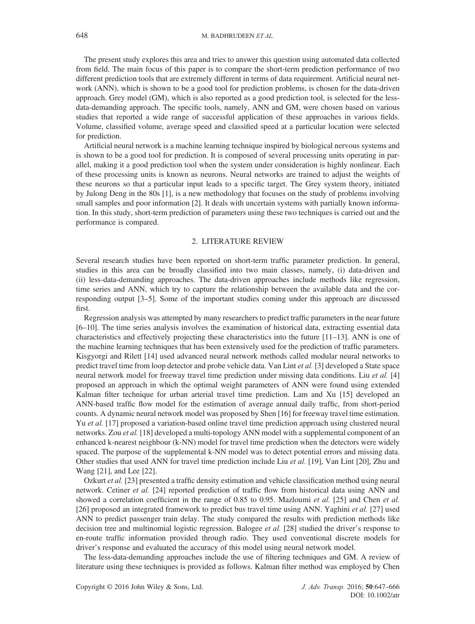The present study explores this area and tries to answer this question using automated data collected from field. The main focus of this paper is to compare the short-term prediction performance of two different prediction tools that are extremely different in terms of data requirement. Artificial neural network (ANN), which is shown to be a good tool for prediction problems, is chosen for the data-driven approach. Grey model (GM), which is also reported as a good prediction tool, is selected for the lessdata-demanding approach. The specific tools, namely, ANN and GM, were chosen based on various studies that reported a wide range of successful application of these approaches in various fields. Volume, classified volume, average speed and classified speed at a particular location were selected for prediction.

Artificial neural network is a machine learning technique inspired by biological nervous systems and is shown to be a good tool for prediction. It is composed of several processing units operating in parallel, making it a good prediction tool when the system under consideration is highly nonlinear. Each of these processing units is known as neurons. Neural networks are trained to adjust the weights of these neurons so that a particular input leads to a specific target. The Grey system theory, initiated by Julong Deng in the 80s [1], is a new methodology that focuses on the study of problems involving small samples and poor information [2]. It deals with uncertain systems with partially known information. In this study, short-term prediction of parameters using these two techniques is carried out and the performance is compared.

## 2. LITERATURE REVIEW

Several research studies have been reported on short-term traffic parameter prediction. In general, studies in this area can be broadly classified into two main classes, namely, (i) data-driven and (ii) less-data-demanding approaches. The data-driven approaches include methods like regression, time series and ANN, which try to capture the relationship between the available data and the corresponding output [3–5]. Some of the important studies coming under this approach are discussed first.

Regression analysis was attempted by many researchers to predict traffic parameters in the near future [6–10]. The time series analysis involves the examination of historical data, extracting essential data characteristics and effectively projecting these characteristics into the future [11–13]. ANN is one of the machine learning techniques that has been extensively used for the prediction of traffic parameters. Kisgyorgi and Rilett [14] used advanced neural network methods called modular neural networks to predict travel time from loop detector and probe vehicle data. Van Lint et al. [3] developed a State space neural network model for freeway travel time prediction under missing data conditions. Liu et al. [4] proposed an approach in which the optimal weight parameters of ANN were found using extended Kalman filter technique for urban arterial travel time prediction. Lam and Xu [15] developed an ANN-based traffic flow model for the estimation of average annual daily traffic, from short-period counts. A dynamic neural network model was proposed by Shen [16] for freeway travel time estimation. Yu et al. [17] proposed a variation-based online travel time prediction approach using clustered neural networks. Zou et al. [18] developed a multi-topology ANN model with a supplemental component of an enhanced k-nearest neighbour (k-NN) model for travel time prediction when the detectors were widely spaced. The purpose of the supplemental k-NN model was to detect potential errors and missing data. Other studies that used ANN for travel time prediction include Liu et al. [19], Van Lint [20], Zhu and Wang [21], and Lee [22].

Ozkurt et al. [23] presented a traffic density estimation and vehicle classification method using neural network. Cetiner *et al.* [24] reported prediction of traffic flow from historical data using ANN and showed a correlation coefficient in the range of 0.85 to 0.95. Mazloumi et al. [25] and Chen et al. [26] proposed an integrated framework to predict bus travel time using ANN. Yaghini et al. [27] used ANN to predict passenger train delay. The study compared the results with prediction methods like decision tree and multinomial logistic regression. Balogee *et al.* [28] studied the driver's response to en-route traffic information provided through radio. They used conventional discrete models for driver's response and evaluated the accuracy of this model using neural network model.

The less-data-demanding approaches include the use of filtering techniques and GM. A review of literature using these techniques is provided as follows. Kalman filter method was employed by Chen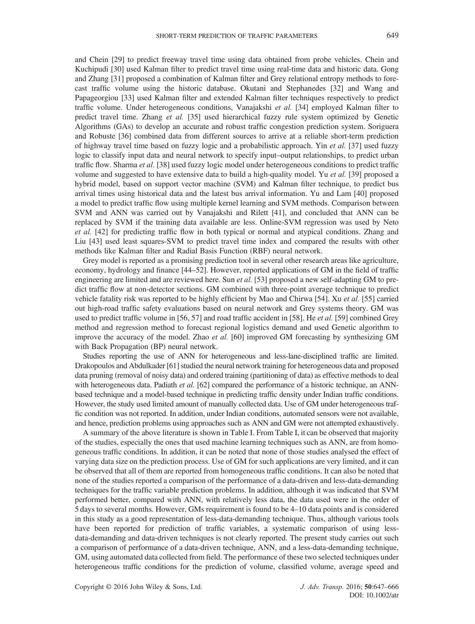and Chein [29] to predict freeway travel time using data obtained from probe vehicles. Chein and Kuchipudi [30] used Kalman filter to predict travel time using real-time data and historic data. Gong and Zhang [31] proposed a combination of Kalman filter and Grey relational entropy methods to forecast traffic volume using the historic database. Okutani and Stephanedes [32] and Wang and Papageorgiou [33] used Kalman filter and extended Kalman filter techniques respectively to predict traffic volume. Under heterogeneous conditions, Vanajakshi et al. [34] employed Kalman filter to predict travel time. Zhang et al. [35] used hierarchical fuzzy rule system optimized by Genetic Algorithms (GAs) to develop an accurate and robust traffic congestion prediction system. Soriguera and Robuste [36] combined data from different sources to arrive at a reliable short-term prediction of highway travel time based on fuzzy logic and a probabilistic approach. Yin et al. [37] used fuzzy logic to classify input data and neural network to specify input–output relationships, to predict urban traffic flow. Sharma et al. [38] used fuzzy logic model under heterogeneous conditions to predict traffic volume and suggested to have extensive data to build a high-quality model. Yu et al. [39] proposed a hybrid model, based on support vector machine (SVM) and Kalman filter technique, to predict bus arrival times using historical data and the latest bus arrival information. Yu and Lam [40] proposed a model to predict traffic flow using multiple kernel learning and SVM methods. Comparison between SVM and ANN was carried out by Vanajakshi and Rilett [41], and concluded that ANN can be replaced by SVM if the training data available are less. Online-SVM regression was used by Neto et al. [42] for predicting traffic flow in both typical or normal and atypical conditions. Zhang and Liu [43] used least squares-SVM to predict travel time index and compared the results with other methods like Kalman filter and Radial Basis Function (RBF) neural network.

Grey model is reported as a promising prediction tool in several other research areas like agriculture, economy, hydrology and finance [44–52]. However, reported applications of GM in the field of traffic engineering are limited and are reviewed here. Sun *et al.* [53] proposed a new self-adapting GM to predict traffic flow at non-detector sections. GM combined with three-point average technique to predict vehicle fatality risk was reported to be highly efficient by Mao and Chirwa [54]. Xu et al. [55] carried out high-road traffic safety evaluations based on neural network and Grey systems theory. GM was used to predict traffic volume in [56, 57] and road traffic accident in [58]. He *et al.* [59] combined Grey method and regression method to forecast regional logistics demand and used Genetic algorithm to improve the accuracy of the model. Zhao *et al.* [60] improved GM forecasting by synthesizing GM with Back Propagation (BP) neural network.

Studies reporting the use of ANN for heterogeneous and less-lane-disciplined traffic are limited. Drakopoulos and Abdulkader [61] studied the neural network training for heterogeneous data and proposed data pruning (removal of noisy data) and ordered training (partitioning of data) as effective methods to deal with heterogeneous data. Padiath *et al.* [62] compared the performance of a historic technique, an ANNbased technique and a model-based technique in predicting traffic density under Indian traffic conditions. However, the study used limited amount of manually collected data. Use of GM under heterogeneous traffic condition was not reported. In addition, under Indian conditions, automated sensors were not available, and hence, prediction problems using approaches such as ANN and GM were not attempted exhaustively.

A summary of the above literature is shown in Table I. From Table I, it can be observed that majority of the studies, especially the ones that used machine learning techniques such as ANN, are from homogeneous traffic conditions. In addition, it can be noted that none of those studies analysed the effect of varying data size on the prediction process. Use of GM for such applications are very limited, and it can be observed that all of them are reported from homogeneous traffic conditions. It can also be noted that none of the studies reported a comparison of the performance of a data-driven and less-data-demanding techniques for the traffic variable prediction problems. In addition, although it was indicated that SVM performed better, compared with ANN, with relatively less data, the data used were in the order of 5 days to several months. However, GMs requirement is found to be 4–10 data points and is considered in this study as a good representation of less-data-demanding technique. Thus, although various tools have been reported for prediction of traffic variables, a systematic comparison of using lessdata-demanding and data-driven techniques is not clearly reported. The present study carries out such a comparison of performance of a data-driven technique, ANN, and a less-data-demanding technique, GM, using automated data collected from field. The performance of these two selected techniques under heterogeneous traffic conditions for the prediction of volume, classified volume, average speed and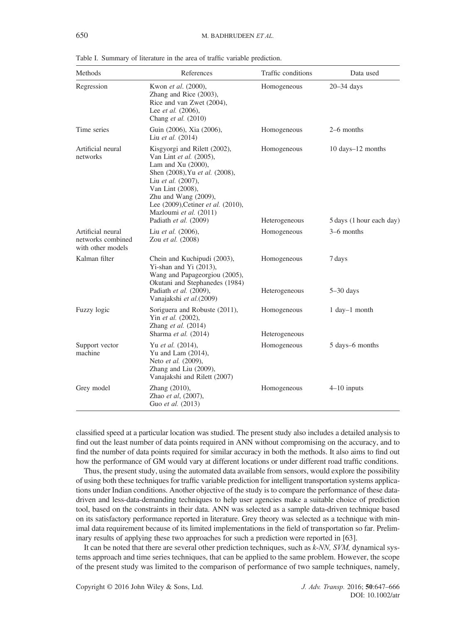| Methods                                                     | References                                                                                                                                                                                                                                           | Traffic conditions | Data used                |
|-------------------------------------------------------------|------------------------------------------------------------------------------------------------------------------------------------------------------------------------------------------------------------------------------------------------------|--------------------|--------------------------|
| Regression                                                  | Kwon et al. (2000),<br>Zhang and Rice (2003),<br>Rice and van Zwet (2004),<br>Lee <i>et al.</i> (2006),<br>Chang et al. (2010)                                                                                                                       | Homogeneous        | $20 - 34$ days           |
| Time series                                                 | Guin (2006), Xia (2006),<br>Liu et al. (2014)                                                                                                                                                                                                        | Homogeneous        | 2–6 months               |
| Artificial neural<br>networks                               | Kisgyorgi and Rilett (2002),<br>Van Lint et al. (2005),<br>Lam and Xu $(2000)$ ,<br>Shen (2008), Yu et al. (2008),<br>Liu et al. (2007),<br>Van Lint (2008),<br>Zhu and Wang (2009),<br>Lee (2009), Cetiner et al. (2010),<br>Mazloumi et al. (2011) | Homogeneous        | 10 days-12 months        |
|                                                             | Padiath et al. (2009)                                                                                                                                                                                                                                | Heterogeneous      | 5 days (1 hour each day) |
| Artificial neural<br>networks combined<br>with other models | Liu et al. (2006),<br>Zou et al. (2008)                                                                                                                                                                                                              | Homogeneous        | 3–6 months               |
| Kalman filter                                               | Chein and Kuchipudi (2003),<br>Yi-shan and Yi $(2013)$ ,<br>Wang and Papageorgiou (2005),<br>Okutani and Stephanedes (1984)                                                                                                                          | Homogeneous        | 7 days                   |
|                                                             | Padiath et al. (2009),<br>Vanajakshi et al.(2009)                                                                                                                                                                                                    | Heterogeneous      | $5-30$ days              |
| Fuzzy logic                                                 | Soriguera and Robuste (2011),<br>Yin et al. (2002),<br>Zhang et al. (2014)                                                                                                                                                                           | Homogeneous        | $1$ day-1 month          |
|                                                             | Sharma et al. (2014)                                                                                                                                                                                                                                 | Heterogeneous      |                          |
| Support vector<br>machine                                   | Yu et al. (2014),<br>Yu and Lam $(2014)$ ,<br>Neto et al. (2009),<br>Zhang and Liu (2009),<br>Vanajakshi and Rilett (2007)                                                                                                                           | Homogeneous        | 5 days-6 months          |
| Grey model                                                  | Zhang (2010),<br>Zhao et al, (2007),<br>Guo <i>et al.</i> (2013)                                                                                                                                                                                     | Homogeneous        | $4-10$ inputs            |

Table I. Summary of literature in the area of traffic variable prediction.

classified speed at a particular location was studied. The present study also includes a detailed analysis to find out the least number of data points required in ANN without compromising on the accuracy, and to find the number of data points required for similar accuracy in both the methods. It also aims to find out how the performance of GM would vary at different locations or under different road traffic conditions.

Thus, the present study, using the automated data available from sensors, would explore the possibility of using both these techniques for traffic variable prediction for intelligent transportation systems applications under Indian conditions. Another objective of the study is to compare the performance of these datadriven and less-data-demanding techniques to help user agencies make a suitable choice of prediction tool, based on the constraints in their data. ANN was selected as a sample data-driven technique based on its satisfactory performance reported in literature. Grey theory was selected as a technique with minimal data requirement because of its limited implementations in the field of transportation so far. Preliminary results of applying these two approaches for such a prediction were reported in [63].

It can be noted that there are several other prediction techniques, such as k-NN, SVM, dynamical systems approach and time series techniques, that can be applied to the same problem. However, the scope of the present study was limited to the comparison of performance of two sample techniques, namely,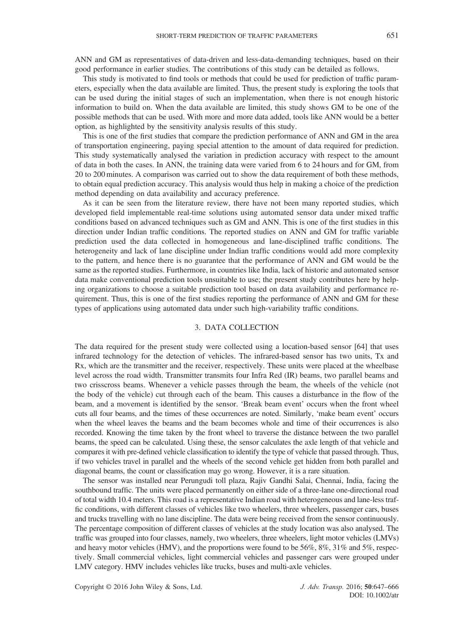ANN and GM as representatives of data-driven and less-data-demanding techniques, based on their good performance in earlier studies. The contributions of this study can be detailed as follows.

This study is motivated to find tools or methods that could be used for prediction of traffic parameters, especially when the data available are limited. Thus, the present study is exploring the tools that can be used during the initial stages of such an implementation, when there is not enough historic information to build on. When the data available are limited, this study shows GM to be one of the possible methods that can be used. With more and more data added, tools like ANN would be a better option, as highlighted by the sensitivity analysis results of this study.

This is one of the first studies that compare the prediction performance of ANN and GM in the area of transportation engineering, paying special attention to the amount of data required for prediction. This study systematically analysed the variation in prediction accuracy with respect to the amount of data in both the cases. In ANN, the training data were varied from 6 to 24 hours and for GM, from 20 to 200 minutes. A comparison was carried out to show the data requirement of both these methods, to obtain equal prediction accuracy. This analysis would thus help in making a choice of the prediction method depending on data availability and accuracy preference.

As it can be seen from the literature review, there have not been many reported studies, which developed field implementable real-time solutions using automated sensor data under mixed traffic conditions based on advanced techniques such as GM and ANN. This is one of the first studies in this direction under Indian traffic conditions. The reported studies on ANN and GM for traffic variable prediction used the data collected in homogeneous and lane-disciplined traffic conditions. The heterogeneity and lack of lane discipline under Indian traffic conditions would add more complexity to the pattern, and hence there is no guarantee that the performance of ANN and GM would be the same as the reported studies. Furthermore, in countries like India, lack of historic and automated sensor data make conventional prediction tools unsuitable to use; the present study contributes here by helping organizations to choose a suitable prediction tool based on data availability and performance requirement. Thus, this is one of the first studies reporting the performance of ANN and GM for these types of applications using automated data under such high-variability traffic conditions.

## 3. DATA COLLECTION

The data required for the present study were collected using a location-based sensor [64] that uses infrared technology for the detection of vehicles. The infrared-based sensor has two units, Tx and Rx, which are the transmitter and the receiver, respectively. These units were placed at the wheelbase level across the road width. Transmitter transmits four Infra Red (IR) beams, two parallel beams and two crisscross beams. Whenever a vehicle passes through the beam, the wheels of the vehicle (not the body of the vehicle) cut through each of the beam. This causes a disturbance in the flow of the beam, and a movement is identified by the sensor. 'Break beam event' occurs when the front wheel cuts all four beams, and the times of these occurrences are noted. Similarly, 'make beam event' occurs when the wheel leaves the beams and the beam becomes whole and time of their occurrences is also recorded. Knowing the time taken by the front wheel to traverse the distance between the two parallel beams, the speed can be calculated. Using these, the sensor calculates the axle length of that vehicle and compares it with pre-defined vehicle classification to identify the type of vehicle that passed through. Thus, if two vehicles travel in parallel and the wheels of the second vehicle get hidden from both parallel and diagonal beams, the count or classification may go wrong. However, it is a rare situation.

The sensor was installed near Perungudi toll plaza, Rajiv Gandhi Salai, Chennai, India, facing the southbound traffic. The units were placed permanently on either side of a three-lane one-directional road of total width 10.4 meters. This road is a representative Indian road with heterogeneous and lane-less traffic conditions, with different classes of vehicles like two wheelers, three wheelers, passenger cars, buses and trucks travelling with no lane discipline. The data were being received from the sensor continuously. The percentage composition of different classes of vehicles at the study location was also analysed. The traffic was grouped into four classes, namely, two wheelers, three wheelers, light motor vehicles (LMVs) and heavy motor vehicles (HMV), and the proportions were found to be 56%, 8%, 31% and 5%, respectively. Small commercial vehicles, light commercial vehicles and passenger cars were grouped under LMV category. HMV includes vehicles like trucks, buses and multi-axle vehicles.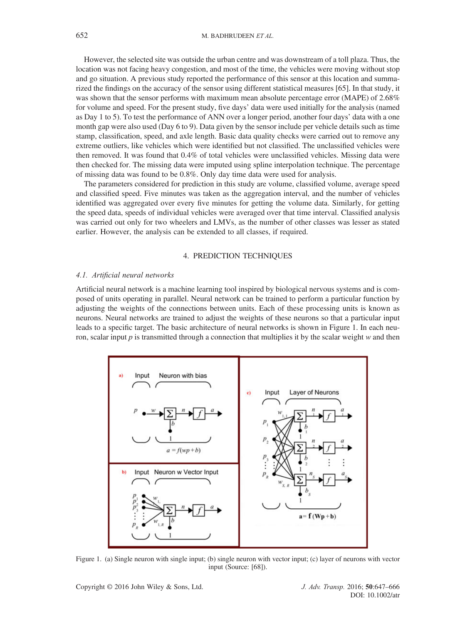However, the selected site was outside the urban centre and was downstream of a toll plaza. Thus, the location was not facing heavy congestion, and most of the time, the vehicles were moving without stop and go situation. A previous study reported the performance of this sensor at this location and summarized the findings on the accuracy of the sensor using different statistical measures [65]. In that study, it was shown that the sensor performs with maximum mean absolute percentage error (MAPE) of 2.68% for volume and speed. For the present study, five days' data were used initially for the analysis (named as Day 1 to 5). To test the performance of ANN over a longer period, another four days' data with a one month gap were also used (Day 6 to 9). Data given by the sensor include per vehicle details such as time stamp, classification, speed, and axle length. Basic data quality checks were carried out to remove any extreme outliers, like vehicles which were identified but not classified. The unclassified vehicles were then removed. It was found that 0.4% of total vehicles were unclassified vehicles. Missing data were then checked for. The missing data were imputed using spline interpolation technique. The percentage of missing data was found to be 0.8%. Only day time data were used for analysis.

The parameters considered for prediction in this study are volume, classified volume, average speed and classified speed. Five minutes was taken as the aggregation interval, and the number of vehicles identified was aggregated over every five minutes for getting the volume data. Similarly, for getting the speed data, speeds of individual vehicles were averaged over that time interval. Classified analysis was carried out only for two wheelers and LMVs, as the number of other classes was lesser as stated earlier. However, the analysis can be extended to all classes, if required.

## 4. PREDICTION TECHNIQUES

#### 4.1. Artificial neural networks

Artificial neural network is a machine learning tool inspired by biological nervous systems and is composed of units operating in parallel. Neural network can be trained to perform a particular function by adjusting the weights of the connections between units. Each of these processing units is known as neurons. Neural networks are trained to adjust the weights of these neurons so that a particular input leads to a specific target. The basic architecture of neural networks is shown in Figure 1. In each neuron, scalar input  $p$  is transmitted through a connection that multiplies it by the scalar weight  $w$  and then



Figure 1. (a) Single neuron with single input; (b) single neuron with vector input; (c) layer of neurons with vector input (Source: [68]).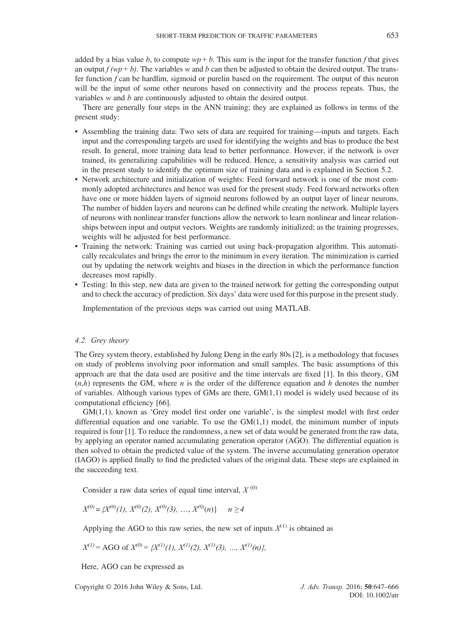added by a bias value b, to compute  $wp + b$ . This sum is the input for the transfer function f that gives an output  $f (wp + b)$ . The variables w and b can then be adjusted to obtain the desired output. The transfer function f can be hardlim, sigmoid or purelin based on the requirement. The output of this neuron will be the input of some other neurons based on connectivity and the process repeats. Thus, the variables w and b are continuously adjusted to obtain the desired output.

There are generally four steps in the ANN training; they are explained as follows in terms of the present study:

- Assembling the training data: Two sets of data are required for training—inputs and targets. Each input and the corresponding targets are used for identifying the weights and bias to produce the best result. In general, more training data lead to better performance. However, if the network is over trained, its generalizing capabilities will be reduced. Hence, a sensitivity analysis was carried out in the present study to identify the optimum size of training data and is explained in Section 5.2.
- Network architecture and initialization of weights: Feed forward network is one of the most commonly adopted architectures and hence was used for the present study. Feed forward networks often have one or more hidden layers of sigmoid neurons followed by an output layer of linear neurons. The number of hidden layers and neurons can be defined while creating the network. Multiple layers of neurons with nonlinear transfer functions allow the network to learn nonlinear and linear relationships between input and output vectors. Weights are randomly initialized; as the training progresses, weights will be adjusted for best performance.
- Training the network: Training was carried out using back-propagation algorithm. This automatically recalculates and brings the error to the minimum in every iteration. The minimization is carried out by updating the network weights and biases in the direction in which the performance function decreases most rapidly.
- Testing: In this step, new data are given to the trained network for getting the corresponding output and to check the accuracy of prediction. Six days' data were used for this purpose in the present study.

Implementation of the previous steps was carried out using MATLAB.

#### 4.2. Grey theory

The Grey system theory, established by Julong Deng in the early 80s [2], is a methodology that focuses on study of problems involving poor information and small samples. The basic assumptions of this approach are that the data used are positive and the time intervals are fixed [1]. In this theory, GM  $(n,h)$  represents the GM, where *n* is the order of the difference equation and *h* denotes the number of variables. Although various types of GMs are there, GM(1,1) model is widely used because of its computational efficiency [66].

GM(1,1), known as 'Grey model first order one variable', is the simplest model with first order differential equation and one variable. To use the  $GM(1,1)$  model, the minimum number of inputs required is four [1]. To reduce the randomness, a new set of data would be generated from the raw data, by applying an operator named accumulating generation operator (AGO). The differential equation is then solved to obtain the predicted value of the system. The inverse accumulating generation operator (IAGO) is applied finally to find the predicted values of the original data. These steps are explained in the succeeding text.

Consider a raw data series of equal time interval,  $X^{(0)}$ 

$$
X^{(0)} = \{X^{(0)}(1), X^{(0)}(2), X^{(0)}(3), \dots, X^{(0)}(n)\} \quad n \ge 4
$$

Applying the AGO to this raw series, the new set of inputs  $X^{(1)}$  is obtained as

 $X^{(1)} = AGO$  of  $X^{(0)} = \{X^{(1)}(1), X^{(1)}(2), X^{(1)}(3), \dots, X^{(1)}(n)\},$ 

Here, AGO can be expressed as

Copyright  $\odot$  2016 John Wiley & Sons, Ltd. J. Adv. Transp. 2016; 50:647–666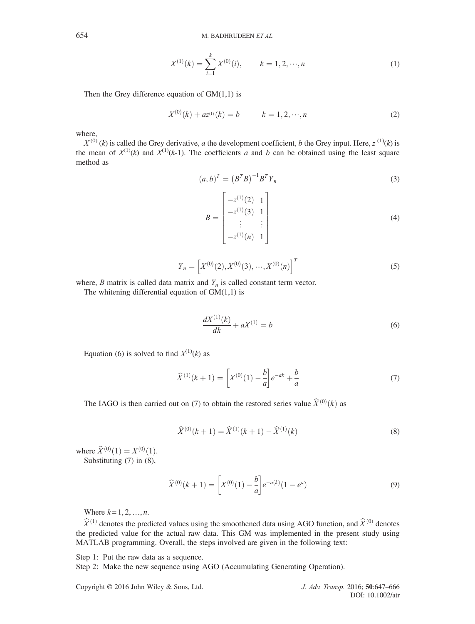$$
X^{(1)}(k) = \sum_{i=1}^{k} X^{(0)}(i), \qquad k = 1, 2, \cdots, n
$$
 (1)

Then the Grey difference equation of  $GM(1,1)$  is

$$
X^{(0)}(k) + az^{(1)}(k) = b \qquad k = 1, 2, \cdots, n
$$
 (2)

where,

 $X^{(0)}(k)$  is called the Grey derivative, *a* the development coefficient, *b* the Grey input. Here,  $z^{(1)}(k)$  is the mean of  $X^{(1)}(k)$  and  $X^{(1)}(k-1)$ . The coefficients a and b can be obtained using the least square method as

$$
(a,b)^{T} = (B^{T}B)^{-1}B^{T}Y_{n}
$$
\n(3)

$$
B = \begin{bmatrix} -z^{(1)}(2) & 1 \\ -z^{(1)}(3) & 1 \\ \vdots & \vdots \\ -z^{(1)}(n) & 1 \end{bmatrix}
$$
 (4)

$$
Y_n = \left[ X^{(0)}(2), X^{(0)}(3), \cdots, X^{(0)}(n) \right]^T
$$
\n(5)

where, B matrix is called data matrix and  $Y_n$  is called constant term vector.

The whitening differential equation of  $GM(1,1)$  is

$$
\frac{dX^{(1)}(k)}{dk} + aX^{(1)} = b\tag{6}
$$

Equation (6) is solved to find  $X^{(1)}(k)$  as

$$
\widehat{X}^{(1)}(k+1) = \left[ X^{(0)}(1) - \frac{b}{a} \right] e^{-ak} + \frac{b}{a} \tag{7}
$$

The IAGO is then carried out on (7) to obtain the restored series value  $\hat{X}^{(0)}(k)$  as

$$
\widehat{X}^{(0)}(k+1) = \widehat{X}^{(1)}(k+1) - \widehat{X}^{(1)}(k)
$$
\n(8)

where  $\widehat{X}^{(0)}(1) = X^{(0)}(1)$ . Substituting (7) in (8),

$$
\widehat{X}^{(0)}(k+1) = \left[ X^{(0)}(1) - \frac{b}{a} \right] e^{-a(k)} (1 - e^a)
$$
\n(9)

Where  $k = 1, 2, ..., n$ .

 $\hat{X}^{(1)}$  denotes the predicted values using the smoothened data using AGO function, and  $\hat{X}^{(0)}$  denotes the predicted value for the actual raw data. This GM was implemented in the present study using MATLAB programming. Overall, the steps involved are given in the following text:

Step 1: Put the raw data as a sequence.

Step 2: Make the new sequence using AGO (Accumulating Generating Operation).

Copyright © 2016 John Wiley & Sons, Ltd. J. Adv. Transp. 2016; 50:647–666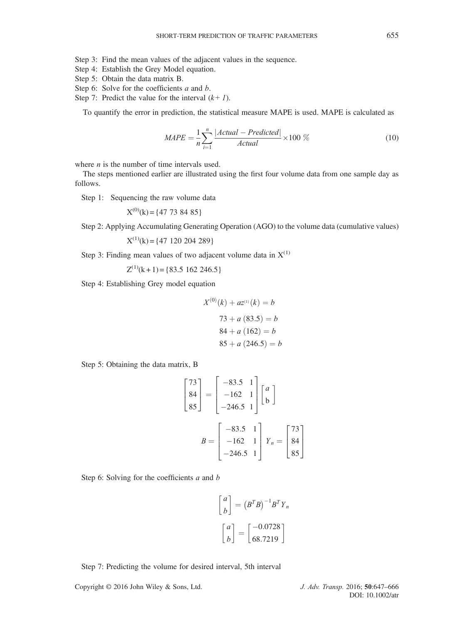- Step 3: Find the mean values of the adjacent values in the sequence.
- Step 4: Establish the Grey Model equation.
- Step 5: Obtain the data matrix B.
- Step 6: Solve for the coefficients *a* and *b*.
- Step 7: Predict the value for the interval  $(k+1)$ .

To quantify the error in prediction, the statistical measure MAPE is used. MAPE is calculated as

$$
MAPE = \frac{1}{n} \sum_{i=1}^{n} \frac{|Actual - Predicted|}{Actual} \times 100\% \tag{10}
$$

where  $n$  is the number of time intervals used.

The steps mentioned earlier are illustrated using the first four volume data from one sample day as follows.

Step 1: Sequencing the raw volume data

$$
X^{(0)}(k) = \{47\ 73\ 84\ 85\}
$$

Step 2: Applying Accumulating Generating Operation (AGO) to the volume data (cumulative values)

 $X^{(1)}(k) = \{47, 120, 204, 289\}$ 

Step 3: Finding mean values of two adjacent volume data in  $X^{(1)}$ 

$$
Z^{(1)}(k+1) = \{83.5 \ 162 \ 246.5\}
$$

Step 4: Establishing Grey model equation

$$
X^{(0)}(k) + az^{(1)}(k) = b
$$
  
73 + a (83.5) = b  
84 + a (162) = b  
85 + a (246.5) = b

Step 5: Obtaining the data matrix, B

$$
\begin{bmatrix} 73 \\ 84 \\ 85 \end{bmatrix} = \begin{bmatrix} -83.5 & 1 \\ -162 & 1 \\ -246.5 & 1 \end{bmatrix} \begin{bmatrix} a \\ b \end{bmatrix}
$$

$$
B = \begin{bmatrix} -83.5 & 1 \\ -162 & 1 \\ -246.5 & 1 \end{bmatrix} Y_n = \begin{bmatrix} 73 \\ 84 \\ 85 \end{bmatrix}
$$

Step 6: Solving for the coefficients  $a$  and  $b$ 

$$
\begin{bmatrix} a \\ b \end{bmatrix} = (B^T B)^{-1} B^T Y_n
$$

$$
\begin{bmatrix} a \\ b \end{bmatrix} = \begin{bmatrix} -0.0728 \\ 68.7219 \end{bmatrix}
$$

Step 7: Predicting the volume for desired interval, 5th interval

Copyright © 2016 John Wiley & Sons, Ltd. J. Adv. Transp. 2016; 50:647–666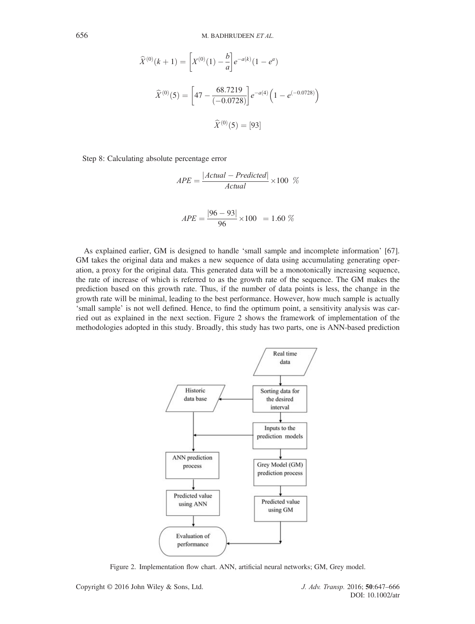$$
\widehat{X}^{(0)}(k+1) = \left[X^{(0)}(1) - \frac{b}{a}\right] e^{-a(k)} (1 - e^a)
$$

$$
\widehat{X}^{(0)}(5) = \left[47 - \frac{68.7219}{(-0.0728)}\right] e^{-a(4)} \left(1 - e^{(-0.0728)}\right)
$$

$$
\widehat{X}^{(0)}(5) = [93]
$$

Step 8: Calculating absolute percentage error

$$
APE = \frac{|Actual - Predicted|}{Actual} \times 100\%
$$

$$
APE = \frac{|96 - 93|}{96} \times 100 = 1.60\%
$$

As explained earlier, GM is designed to handle 'small sample and incomplete information' [67]. GM takes the original data and makes a new sequence of data using accumulating generating operation, a proxy for the original data. This generated data will be a monotonically increasing sequence, the rate of increase of which is referred to as the growth rate of the sequence. The GM makes the prediction based on this growth rate. Thus, if the number of data points is less, the change in the growth rate will be minimal, leading to the best performance. However, how much sample is actually 'small sample' is not well defined. Hence, to find the optimum point, a sensitivity analysis was carried out as explained in the next section. Figure 2 shows the framework of implementation of the methodologies adopted in this study. Broadly, this study has two parts, one is ANN-based prediction



Figure 2. Implementation flow chart. ANN, artificial neural networks; GM, Grey model.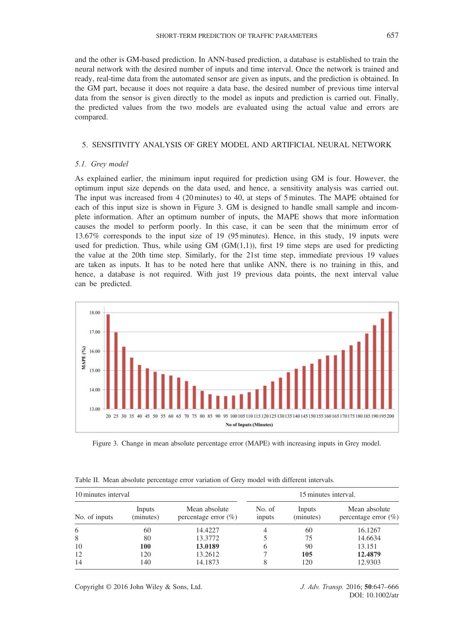and the other is GM-based prediction. In ANN-based prediction, a database is established to train the neural network with the desired number of inputs and time interval. Once the network is trained and ready, real-time data from the automated sensor are given as inputs, and the prediction is obtained. In the GM part, because it does not require a data base, the desired number of previous time interval data from the sensor is given directly to the model as inputs and prediction is carried out. Finally, the predicted values from the two models are evaluated using the actual value and errors are compared.

# 5. SENSITIVITY ANALYSIS OF GREY MODEL AND ARTIFICIAL NEURAL NETWORK

## 5.1. Grey model

As explained earlier, the minimum input required for prediction using GM is four. However, the optimum input size depends on the data used, and hence, a sensitivity analysis was carried out. The input was increased from 4 (20 minutes) to 40, at steps of 5 minutes. The MAPE obtained for each of this input size is shown in Figure 3. GM is designed to handle small sample and incomplete information. After an optimum number of inputs, the MAPE shows that more information causes the model to perform poorly. In this case, it can be seen that the minimum error of 13.67% corresponds to the input size of 19 (95 minutes). Hence, in this study, 19 inputs were used for prediction. Thus, while using GM  $(GM(1,1))$ , first 19 time steps are used for predicting the value at the 20th time step. Similarly, for the 21st time step, immediate previous 19 values are taken as inputs. It has to be noted here that unlike ANN, there is no training in this, and hence, a database is not required. With just 19 previous data points, the next interval value can be predicted.



Figure 3. Change in mean absolute percentage error (MAPE) with increasing inputs in Grey model.

| 10 minutes interval |                     |                                           | 15 minutes interval. |                     |                                           |  |
|---------------------|---------------------|-------------------------------------------|----------------------|---------------------|-------------------------------------------|--|
| No. of inputs       | Inputs<br>(minutes) | Mean absolute<br>percentage error $(\% )$ | No. of<br>inputs     | Inputs<br>(minutes) | Mean absolute<br>percentage error $(\% )$ |  |
| 6                   | 60                  | 14.4227                                   | 4                    | 60                  | 16.1267                                   |  |
| 8                   | 80                  | 13.3772                                   |                      | 75                  | 14.6634                                   |  |
| 10                  | 100                 | 13.0189                                   | 6                    | 90                  | 13.151                                    |  |
| 12                  | 120                 | 13.2612                                   |                      | 105                 | 12.4879                                   |  |
| 14                  | 140                 | 14.1873                                   | 8                    | 120                 | 12.9303                                   |  |

Table II. Mean absolute percentage error variation of Grey model with different intervals.

Copyright © 2016 John Wiley & Sons, Ltd. J. Adv. Transp. 2016; 50:647–666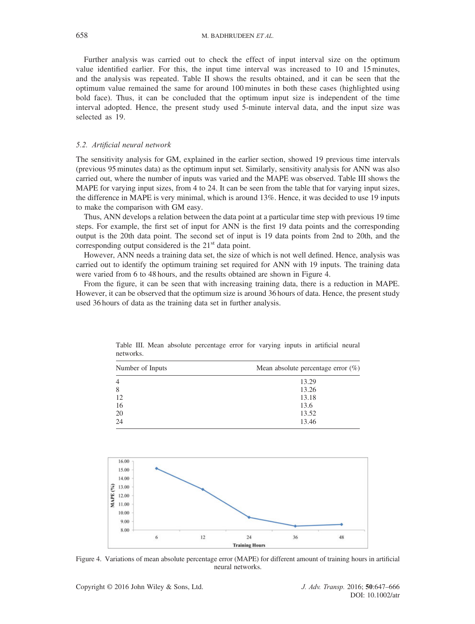Further analysis was carried out to check the effect of input interval size on the optimum value identified earlier. For this, the input time interval was increased to 10 and 15 minutes, and the analysis was repeated. Table II shows the results obtained, and it can be seen that the optimum value remained the same for around 100 minutes in both these cases (highlighted using bold face). Thus, it can be concluded that the optimum input size is independent of the time interval adopted. Hence, the present study used 5-minute interval data, and the input size was selected as 19.

#### 5.2. Artificial neural network

The sensitivity analysis for GM, explained in the earlier section, showed 19 previous time intervals (previous 95 minutes data) as the optimum input set. Similarly, sensitivity analysis for ANN was also carried out, where the number of inputs was varied and the MAPE was observed. Table III shows the MAPE for varying input sizes, from 4 to 24. It can be seen from the table that for varying input sizes, the difference in MAPE is very minimal, which is around 13%. Hence, it was decided to use 19 inputs to make the comparison with GM easy.

Thus, ANN develops a relation between the data point at a particular time step with previous 19 time steps. For example, the first set of input for ANN is the first 19 data points and the corresponding output is the 20th data point. The second set of input is 19 data points from 2nd to 20th, and the corresponding output considered is the  $21<sup>st</sup>$  data point.

However, ANN needs a training data set, the size of which is not well defined. Hence, analysis was carried out to identify the optimum training set required for ANN with 19 inputs. The training data were varied from 6 to 48 hours, and the results obtained are shown in Figure 4.

From the figure, it can be seen that with increasing training data, there is a reduction in MAPE. However, it can be observed that the optimum size is around 36 hours of data. Hence, the present study used 36 hours of data as the training data set in further analysis.

| Number of Inputs | Mean absolute percentage error $(\%)$ |
|------------------|---------------------------------------|
|                  | 13.29                                 |
| 8                | 13.26                                 |
| 12               | 13.18                                 |
| 16               | 13.6                                  |
| 20               | 13.52                                 |
| 24               | 13.46                                 |

Table III. Mean absolute percentage error for varying inputs in artificial neural networks.



Figure 4. Variations of mean absolute percentage error (MAPE) for different amount of training hours in artificial neural networks.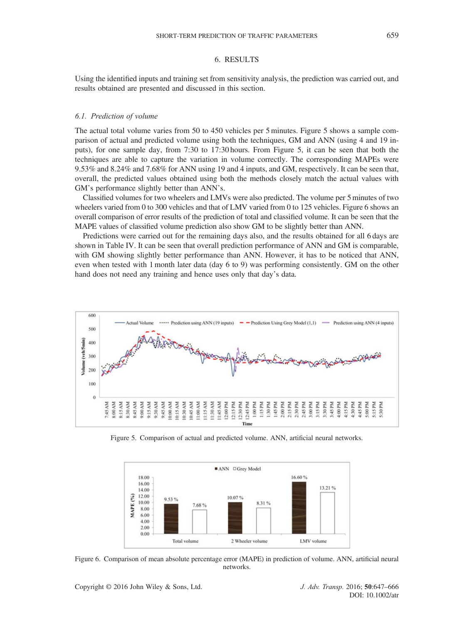## 6. RESULTS

Using the identified inputs and training set from sensitivity analysis, the prediction was carried out, and results obtained are presented and discussed in this section.

### 6.1. Prediction of volume

The actual total volume varies from 50 to 450 vehicles per 5 minutes. Figure 5 shows a sample comparison of actual and predicted volume using both the techniques, GM and ANN (using 4 and 19 inputs), for one sample day, from 7:30 to 17:30 hours. From Figure 5, it can be seen that both the techniques are able to capture the variation in volume correctly. The corresponding MAPEs were 9.53% and 8.24% and 7.68% for ANN using 19 and 4 inputs, and GM, respectively. It can be seen that, overall, the predicted values obtained using both the methods closely match the actual values with GM's performance slightly better than ANN's.

Classified volumes for two wheelers and LMVs were also predicted. The volume per 5 minutes of two wheelers varied from 0 to 300 vehicles and that of LMV varied from 0 to 125 vehicles. Figure 6 shows an overall comparison of error results of the prediction of total and classified volume. It can be seen that the MAPE values of classified volume prediction also show GM to be slightly better than ANN.

Predictions were carried out for the remaining days also, and the results obtained for all 6 days are shown in Table IV. It can be seen that overall prediction performance of ANN and GM is comparable, with GM showing slightly better performance than ANN. However, it has to be noticed that ANN, even when tested with 1 month later data (day 6 to 9) was performing consistently. GM on the other hand does not need any training and hence uses only that day's data.



Figure 5. Comparison of actual and predicted volume. ANN, artificial neural networks.



Figure 6. Comparison of mean absolute percentage error (MAPE) in prediction of volume. ANN, artificial neural networks.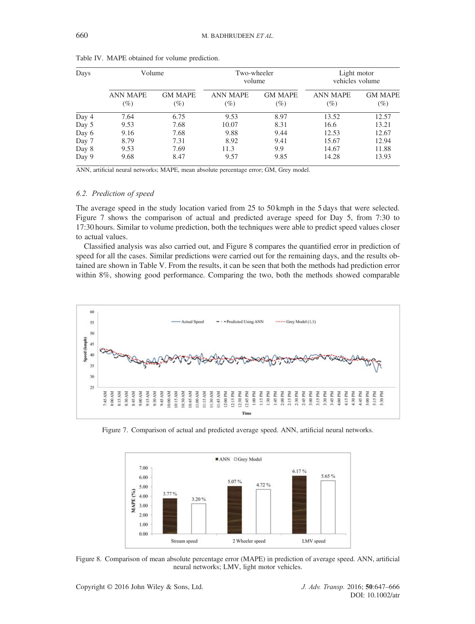| Days  | Volume                 |                          | Two-wheeler<br>volume              |                          | Light motor<br>vehicles volume |                          |
|-------|------------------------|--------------------------|------------------------------------|--------------------------|--------------------------------|--------------------------|
|       | <b>ANN MAPE</b><br>(%) | <b>GM MAPE</b><br>$(\%)$ | <b>ANN MAPE</b><br>$\mathscr{G}_o$ | <b>GM MAPE</b><br>$(\%)$ | <b>ANN MAPE</b><br>$(\%)$      | <b>GM MAPE</b><br>$(\%)$ |
| Day 4 | 7.64                   | 6.75                     | 9.53                               | 8.97                     | 13.52                          | 12.57                    |
| Day 5 | 9.53                   | 7.68                     | 10.07                              | 8.31                     | 16.6                           | 13.21                    |
| Day 6 | 9.16                   | 7.68                     | 9.88                               | 9.44                     | 12.53                          | 12.67                    |
| Day 7 | 8.79                   | 7.31                     | 8.92                               | 9.41                     | 15.67                          | 12.94                    |
| Day 8 | 9.53                   | 7.69                     | 11.3                               | 9.9                      | 14.67                          | 11.88                    |
| Day 9 | 9.68                   | 8.47                     | 9.57                               | 9.85                     | 14.28                          | 13.93                    |

Table IV. MAPE obtained for volume prediction.

ANN, artificial neural networks; MAPE, mean absolute percentage error; GM, Grey model.

# 6.2. Prediction of speed

The average speed in the study location varied from 25 to 50 kmph in the 5 days that were selected. Figure 7 shows the comparison of actual and predicted average speed for Day 5, from 7:30 to 17:30 hours. Similar to volume prediction, both the techniques were able to predict speed values closer to actual values.

Classified analysis was also carried out, and Figure 8 compares the quantified error in prediction of speed for all the cases. Similar predictions were carried out for the remaining days, and the results obtained are shown in Table V. From the results, it can be seen that both the methods had prediction error within 8%, showing good performance. Comparing the two, both the methods showed comparable



Figure 7. Comparison of actual and predicted average speed. ANN, artificial neural networks.



Figure 8. Comparison of mean absolute percentage error (MAPE) in prediction of average speed. ANN, artificial neural networks; LMV, light motor vehicles.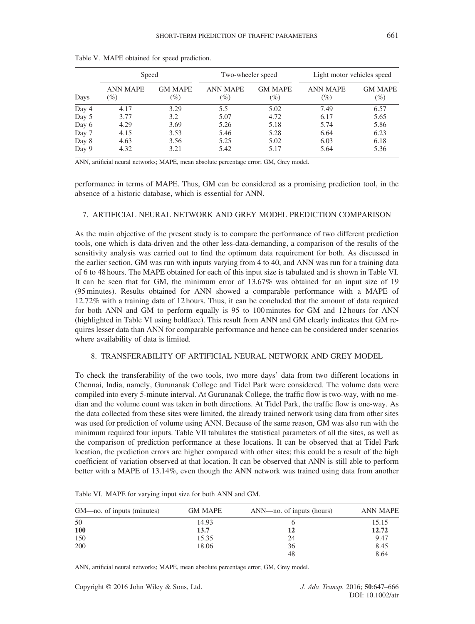| Speed |                           | Two-wheeler speed                 |                           | Light motor vehicles speed |                           |                          |
|-------|---------------------------|-----------------------------------|---------------------------|----------------------------|---------------------------|--------------------------|
| Days  | <b>ANN MAPE</b><br>$(\%)$ | <b>GM MAPE</b><br>$\mathscr{D}_o$ | <b>ANN MAPE</b><br>$(\%)$ | <b>GM MAPE</b><br>$(\%)$   | <b>ANN MAPE</b><br>$(\%)$ | <b>GM MAPE</b><br>$(\%)$ |
| Day 4 | 4.17                      | 3.29                              | 5.5                       | 5.02                       | 7.49                      | 6.57                     |
| Day 5 | 3.77                      | 3.2                               | 5.07                      | 4.72                       | 6.17                      | 5.65                     |
| Day 6 | 4.29                      | 3.69                              | 5.26                      | 5.18                       | 5.74                      | 5.86                     |
| Day 7 | 4.15                      | 3.53                              | 5.46                      | 5.28                       | 6.64                      | 6.23                     |
| Day 8 | 4.63                      | 3.56                              | 5.25                      | 5.02                       | 6.03                      | 6.18                     |
| Day 9 | 4.32                      | 3.21                              | 5.42                      | 5.17                       | 5.64                      | 5.36                     |

Table V. MAPE obtained for speed prediction.

ANN, artificial neural networks; MAPE, mean absolute percentage error; GM, Grey model.

performance in terms of MAPE. Thus, GM can be considered as a promising prediction tool, in the absence of a historic database, which is essential for ANN.

## 7. ARTIFICIAL NEURAL NETWORK AND GREY MODEL PREDICTION COMPARISON

As the main objective of the present study is to compare the performance of two different prediction tools, one which is data-driven and the other less-data-demanding, a comparison of the results of the sensitivity analysis was carried out to find the optimum data requirement for both. As discussed in the earlier section, GM was run with inputs varying from 4 to 40, and ANN was run for a training data of 6 to 48 hours. The MAPE obtained for each of this input size is tabulated and is shown in Table VI. It can be seen that for GM, the minimum error of 13.67% was obtained for an input size of 19 (95 minutes). Results obtained for ANN showed a comparable performance with a MAPE of 12.72% with a training data of 12 hours. Thus, it can be concluded that the amount of data required for both ANN and GM to perform equally is 95 to 100 minutes for GM and 12 hours for ANN (highlighted in Table VI using boldface). This result from ANN and GM clearly indicates that GM requires lesser data than ANN for comparable performance and hence can be considered under scenarios where availability of data is limited.

# 8. TRANSFERABILITY OF ARTIFICIAL NEURAL NETWORK AND GREY MODEL

To check the transferability of the two tools, two more days' data from two different locations in Chennai, India, namely, Gurunanak College and Tidel Park were considered. The volume data were compiled into every 5-minute interval. At Gurunanak College, the traffic flow is two-way, with no median and the volume count was taken in both directions. At Tidel Park, the traffic flow is one-way. As the data collected from these sites were limited, the already trained network using data from other sites was used for prediction of volume using ANN. Because of the same reason, GM was also run with the minimum required four inputs. Table VII tabulates the statistical parameters of all the sites, as well as the comparison of prediction performance at these locations. It can be observed that at Tidel Park location, the prediction errors are higher compared with other sites; this could be a result of the high coefficient of variation observed at that location. It can be observed that ANN is still able to perform better with a MAPE of 13.14%, even though the ANN network was trained using data from another

| GM—no. of inputs (minutes) | <b>GM MAPE</b> | ANN—no. of inputs (hours) | <b>ANN MAPE</b> |
|----------------------------|----------------|---------------------------|-----------------|
| 50                         | 14.93          |                           | 15.15           |
| <b>100</b>                 | 13.7           | 12                        | 12.72           |
| 150                        | 15.35          | 24                        | 9.47            |
| 200                        | 18.06          | 36                        | 8.45            |
|                            |                | 48                        | 8.64            |

Table VI. MAPE for varying input size for both ANN and GM.

ANN, artificial neural networks; MAPE, mean absolute percentage error; GM, Grey model.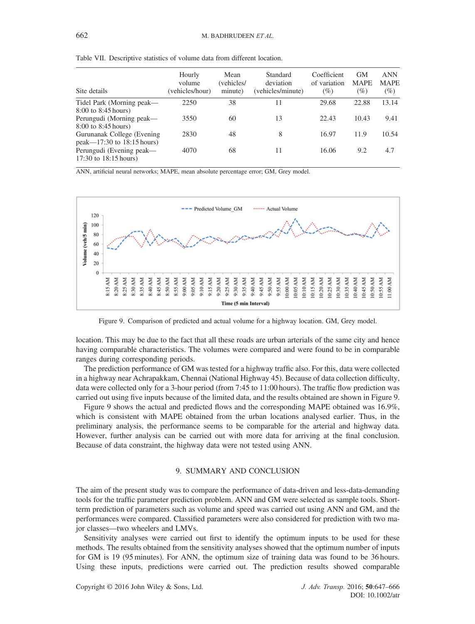| Site details                                                 | Hourly<br>volume<br>(vehicles/hour) | Mean<br>(vehicles/<br>minute) | Standard<br>deviation<br>(vehicles/minute) | Coefficient<br>of variation<br>(%) | <b>GM</b><br><b>MAPE</b><br>$(\%)$ | <b>ANN</b><br><b>MAPE</b><br>$(\%)$ |
|--------------------------------------------------------------|-------------------------------------|-------------------------------|--------------------------------------------|------------------------------------|------------------------------------|-------------------------------------|
| Tidel Park (Morning peak—<br>$8:00$ to $8:45$ hours)         | 2250                                | 38                            | 11                                         | 29.68                              | 22.88                              | 13.14                               |
| Perungudi (Morning peak—<br>$8:00$ to $8:45$ hours)          | 3550                                | 60                            | 13                                         | 22.43                              | 10.43                              | 9.41                                |
| Gurunanak College (Evening)<br>$peak$ —17:30 to 18:15 hours) | 2830                                | 48                            | 8                                          | 16.97                              | 11.9                               | 10.54                               |
| Perungudi (Evening peak—<br>17:30 to 18:15 hours)            | 4070                                | 68                            | 11                                         | 16.06                              | 9.2                                | 4.7                                 |

Table VII. Descriptive statistics of volume data from different location.

ANN, artificial neural networks; MAPE, mean absolute percentage error; GM, Grey model.



Figure 9. Comparison of predicted and actual volume for a highway location. GM, Grey model.

location. This may be due to the fact that all these roads are urban arterials of the same city and hence having comparable characteristics. The volumes were compared and were found to be in comparable ranges during corresponding periods.

The prediction performance of GM was tested for a highway traffic also. For this, data were collected in a highway near Achrapakkam, Chennai (National Highway 45). Because of data collection difficulty, data were collected only for a 3-hour period (from 7:45 to 11:00 hours). The traffic flow prediction was carried out using five inputs because of the limited data, and the results obtained are shown in Figure 9.

Figure 9 shows the actual and predicted flows and the corresponding MAPE obtained was 16.9%, which is consistent with MAPE obtained from the urban locations analysed earlier. Thus, in the preliminary analysis, the performance seems to be comparable for the arterial and highway data. However, further analysis can be carried out with more data for arriving at the final conclusion. Because of data constraint, the highway data were not tested using ANN.

## 9. SUMMARY AND CONCLUSION

The aim of the present study was to compare the performance of data-driven and less-data-demanding tools for the traffic parameter prediction problem. ANN and GM were selected as sample tools. Shortterm prediction of parameters such as volume and speed was carried out using ANN and GM, and the performances were compared. Classified parameters were also considered for prediction with two major classes—two wheelers and LMVs.

Sensitivity analyses were carried out first to identify the optimum inputs to be used for these methods. The results obtained from the sensitivity analyses showed that the optimum number of inputs for GM is 19 (95 minutes). For ANN, the optimum size of training data was found to be 36 hours. Using these inputs, predictions were carried out. The prediction results showed comparable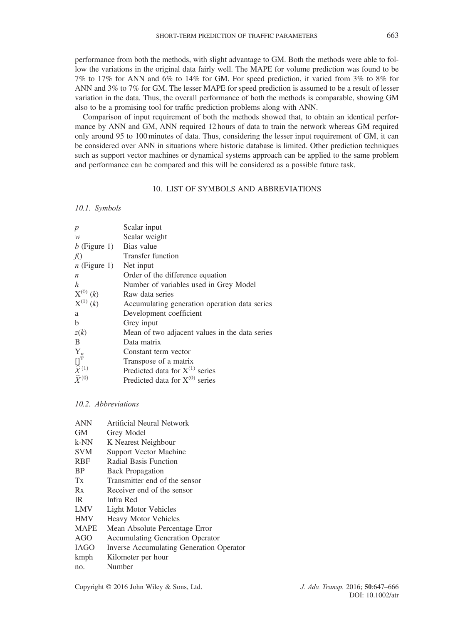performance from both the methods, with slight advantage to GM. Both the methods were able to follow the variations in the original data fairly well. The MAPE for volume prediction was found to be 7% to 17% for ANN and 6% to 14% for GM. For speed prediction, it varied from 3% to 8% for ANN and 3% to 7% for GM. The lesser MAPE for speed prediction is assumed to be a result of lesser variation in the data. Thus, the overall performance of both the methods is comparable, showing GM also to be a promising tool for traffic prediction problems along with ANN.

Comparison of input requirement of both the methods showed that, to obtain an identical performance by ANN and GM, ANN required 12 hours of data to train the network whereas GM required only around 95 to 100 minutes of data. Thus, considering the lesser input requirement of GM, it can be considered over ANN in situations where historic database is limited. Other prediction techniques such as support vector machines or dynamical systems approach can be applied to the same problem and performance can be compared and this will be considered as a possible future task.

# 10. LIST OF SYMBOLS AND ABBREVIATIONS

10.1. Symbols

| $\boldsymbol{p}$                                                    | Scalar input                                   |
|---------------------------------------------------------------------|------------------------------------------------|
| $\mathcal W$                                                        | Scalar weight                                  |
| $b$ (Figure 1)                                                      | Bias value                                     |
| f()                                                                 | Transfer function                              |
| <i>n</i> (Figure 1)                                                 | Net input                                      |
| $\boldsymbol{n}$                                                    | Order of the difference equation               |
| h                                                                   | Number of variables used in Grey Model         |
| $X^{(0)}(k)$                                                        | Raw data series                                |
| $X^{(1)}(k)$                                                        | Accumulating generation operation data series  |
| a                                                                   | Development coefficient                        |
| b                                                                   | Grey input                                     |
| z(k)                                                                | Mean of two adjacent values in the data series |
| B                                                                   | Data matrix                                    |
| $Y_n$                                                               | Constant term vector                           |
| $\overline{\Omega}^{\widetilde{\mathbf{T}}}$<br>$\widehat{X}^{(1)}$ | Transpose of a matrix                          |
|                                                                     | Predicted data for $X^{(1)}$ series            |
| $\widehat{X}^{(0)}$                                                 | Predicted data for $X^{(0)}$ series            |
|                                                                     |                                                |

# 10.2. Abbreviations

| <b>ANN</b>  | Artificial Neural Network                |
|-------------|------------------------------------------|
| <b>GM</b>   | Grey Model                               |
| $k-NN$      | K Nearest Neighbour                      |
| <b>SVM</b>  | <b>Support Vector Machine</b>            |
| <b>RBF</b>  | Radial Basis Function                    |
| <b>BP</b>   | <b>Back Propagation</b>                  |
| Tx          | Transmitter end of the sensor            |
| Rx          | Receiver end of the sensor               |
| IR.         | Infra Red                                |
| LMV         | <b>Light Motor Vehicles</b>              |
| <b>HMV</b>  | <b>Heavy Motor Vehicles</b>              |
| <b>MAPE</b> | Mean Absolute Percentage Error           |
| AGO         | <b>Accumulating Generation Operator</b>  |
| <b>IAGO</b> | Inverse Accumulating Generation Operator |
| kmph        | Kilometer per hour                       |
| no.         | Number                                   |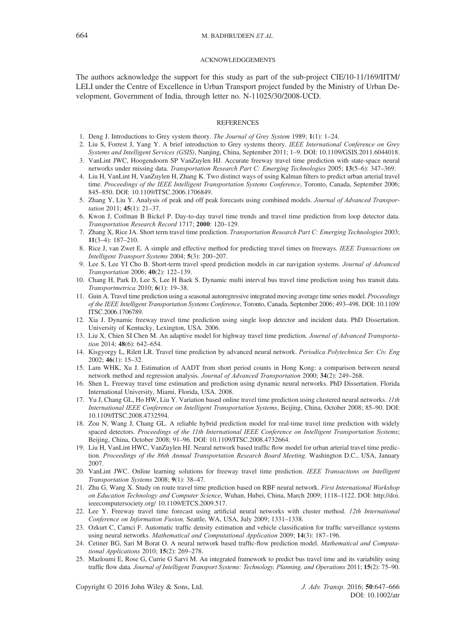#### ACKNOWLEDGGEMENTS

The authors acknowledge the support for this study as part of the sub-project CIE/10-11/169/IITM/ LELI under the Centre of Excellence in Urban Transport project funded by the Ministry of Urban Development, Government of India, through letter no. N-11025/30/2008-UCD.

#### **REFERENCES**

- 1. Deng J. Introductions to Grey system theory. The Journal of Grey System 1989; 1(1): 1–24.
- 2. Liu S, Forrest J, Yang Y. A brief introduction to Grey systems theory. IEEE International Conference on Grey Systems and Intelligent Services (GSIS), Nanjing, China, September 2011; 1–9. DOI: 10.1109/GSIS.2011.6044018.
- 3. VanLint JWC, Hoogendoorn SP VanZuylen HJ. Accurate freeway travel time prediction with state-space neural networks under missing data. Transportation Research Part C: Emerging Technologies 2005; 13(5–6): 347–369.
- 4. Liu H, VanLint H, VanZuylen H, Zhang K. Two distinct ways of using Kalman filters to predict urban arterial travel time. Proceedings of the IEEE Intelligent Transportation Systems Conference, Toronto, Canada, September 2006; 845–850. DOI: 10.1109/ITSC.2006.1706849.
- 5. Zhang Y, Liu Y. Analysis of peak and off peak forecasts using combined models. Journal of Advanced Transportation 2011; 45(1): 21–37.
- 6. Kwon J, Coifman B Bickel P. Day-to-day travel time trends and travel time prediction from loop detector data. Transportation Research Record 1717; 2000: 120–129.
- 7. Zhang X, Rice JA. Short term travel time prediction. Transportation Research Part C: Emerging Technologies 2003; 11(3–4): 187–210.
- 8. Rice J, van Zwet E. A simple and effective method for predicting travel times on freeways. IEEE Transactions on Intelligent Transport Systems 2004; 5(3): 200–207.
- 9. Lee S, Lee YI Cho B. Short-term travel speed prediction models in car navigation systems. Journal of Advanced Transportation 2006; 40(2): 122–139.
- 10. Chang H, Park D, Lee S, Lee H Baek S. Dynamic multi interval bus travel time prediction using bus transit data. Transportmetrica 2010; 6(1): 19–38.
- 11. Guin A. Travel time prediction using a seasonal autoregressive integrated moving average time series model. Proceedings of the IEEE Intelligent Transportation Systems Conference, Toronto, Canada, September 2006; 493–498. DOI: 10.1109/ ITSC.2006.1706789.
- 12. Xia J. Dynamic freeway travel time prediction using single loop detector and incident data. PhD Dissertation. University of Kentucky, Lexington, USA. 2006.
- 13. Liu X, Chien SI Chen M. An adaptive model for highway travel time prediction. Journal of Advanced Transportation 2014; 48(6): 642–654.
- 14. Kisgyorgy L, Rilett LR. Travel time prediction by advanced neural network. Periodica Polytechnica Ser. Civ. Eng 2002; 46(1): 15–32.
- 15. Lam WHK, Xu J. Estimation of AADT from short period counts in Hong Kong: a comparison between neural network method and regression analysis. Journal of Advanced Transportation 2000; 34(2): 249–268.
- 16. Shen L. Freeway travel time estimation and prediction using dynamic neural networks. PhD Dissertation. Florida International University, Miami, Florida, USA. 2008.
- 17. Yu J, Chang GL, Ho HW, Liu Y. Variation based online travel time prediction using clustered neural networks. 11th International IEEE Conference on Intelligent Transportation Systems, Beijing, China, October 2008; 85–90. DOI: 10.1109/ITSC.2008.4732594.
- 18. Zou N, Wang J, Chang GL. A reliable hybrid prediction model for real-time travel time prediction with widely spaced detectors. Proceedings of the 11th International IEEE Conference on Intelligent Transportation Systems; Beijing, China, October 2008; 91–96. DOI: 10.1109/ITSC.2008.4732664.
- 19. Liu H, VanLint HWC, VanZuylen HJ. Neural network based traffic flow model for urban arterial travel time prediction. Proceedings of the 86th Annual Transportation Research Board Meeting, Washington D.C., USA, January 2007.
- 20. VanLint JWC. Online learning solutions for freeway travel time prediction. IEEE Transactions on Intelligent Transportation Systems 2008; 9(1): 38–47.
- 21. Zhu G, Wang X. Study on route travel time prediction based on RBF neural network. First International Workshop on Education Technology and Computer Science, Wuhan, Hubei, China, March 2009; 1118–1122. DOI: http://doi. ieeecomputersociety.org/ 10.1109/ETCS.2009.517.
- 22. Lee Y. Freeway travel time forecast using artificial neural networks with cluster method. 12th International Conference on Information Fusion, Seattle, WA, USA, July 2009; 1331–1338.
- 23. Ozkurt C, Camci F. Automatic traffic density estimation and vehicle classification for traffic surveillance systems using neural networks. Mathematical and Computational Application 2009; 14(3): 187–196.
- 24. Cetiner BG, Sari M Borat O. A neural network based traffic-flow prediction model. Mathematical and Computational Applications 2010; 15(2): 269–278.
- 25. Mazloumi E, Rose G, Currie G Sarvi M. An integrated framework to predict bus travel time and its variability using traffic flow data. Journal of Intelligent Transport Systems: Technology, Planning, and Operations 2011; 15(2): 75-90.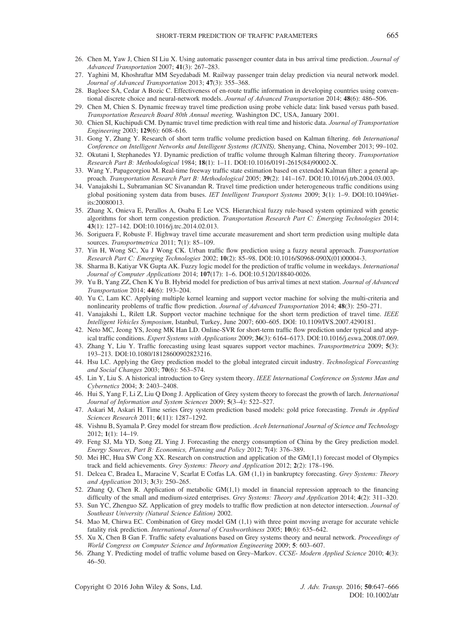- 26. Chen M, Yaw J, Chien SI Liu X. Using automatic passenger counter data in bus arrival time prediction. Journal of Advanced Transportation 2007; 41(3): 267–283.
- 27. Yaghini M, Khoshraftar MM Seyedabadi M. Railway passenger train delay prediction via neural network model. Journal of Advanced Transportation 2013; 47(3): 355–368.
- 28. Bagloee SA, Cedar A Bozic C. Effectiveness of en-route traffic information in developing countries using conventional discrete choice and neural-network models. Journal of Advanced Transportation 2014; 48(6): 486–506.
- 29. Chen M, Chien S. Dynamic freeway travel time prediction using probe vehicle data: link based versus path based. Transportation Research Board 80th Annual meeting, Washington DC, USA, January 2001.
- 30. Chien SI, Kuchipudi CM. Dynamic travel time prediction with real time and historic data. Journal of Transportation Engineering 2003; 129(6): 608–616.
- 31. Gong Y, Zhang Y. Research of short term traffic volume prediction based on Kalman filtering. 6th International Conference on Intelligent Networks and Intelligent Systems (ICINIS), Shenyang, China, November 2013; 99–102.
- 32. Okutani I, Stephanedes YJ. Dynamic prediction of traffic volume through Kalman filtering theory. Transportation Research Part B: Methodological 1984; 18(1): 1–11. DOI:10.1016/0191-2615(84)90002-X.
- 33. Wang Y, Papageorgiou M. Real-time freeway traffic state estimation based on extended Kalman filter: a general approach. Transportation Research Part B: Methodological 2005; 39(2): 141–167. DOI:10.1016/j.trb.2004.03.003.
- 34. Vanajakshi L, Subramanian SC Sivanandan R. Travel time prediction under heterogeneous traffic conditions using global positioning system data from buses. IET Intelligent Transport Systems 2009; 3(1): 1–9. DOI:10.1049/ietits:20080013.
- 35. Zhang X, Onieva E, Perallos A, Osaba E Lee VCS. Hierarchical fuzzy rule-based system optimized with genetic algorithms for short term congestion prediction. Transportation Research Part C: Emerging Technologies 2014; 43(1): 127–142. DOI:10.1016/j.trc.2014.02.013.
- 36. Soriguera F, Robuste F. Highway travel time accurate measurement and short term prediction using multiple data sources. Transportmetrica 2011; 7(1): 85–109.
- 37. Yin H, Wong SC, Xu J Wong CK. Urban traffic flow prediction using a fuzzy neural approach. Transportation Research Part C: Emerging Technologies 2002; 10(2): 85–98. DOI:10.1016/S0968-090X(01)00004-3.
- 38. Sharma B, Katiyar VK Gupta AK. Fuzzy logic model for the prediction of traffic volume in weekdays. International Journal of Computer Applications 2014; 107(17): 1–6. DOI:10.5120/18840-0026.
- 39. Yu B, Yang ZZ, Chen K Yu B. Hybrid model for prediction of bus arrival times at next station. Journal of Advanced Transportation 2014; 44(6): 193–204.
- 40. Yu C, Lam KC. Applying multiple kernel learning and support vector machine for solving the multi-criteria and nonlinearity problems of traffic flow prediction. Journal of Advanced Transportation 2014; 48(3): 250–271.
- 41. Vanajakshi L, Rilett LR. Support vector machine technique for the short term prediction of travel time. IEEE Intelligent Vehicles Symposium, Istanbul, Turkey, June 2007; 600–605. DOI: 10.1109/IVS.2007.4290181.
- 42. Neto MC, Jeong YS, Jeong MK Han LD. Online-SVR for short-term traffic flow prediction under typical and atypical traffic conditions. Expert Systems with Applications 2009; 36(3): 6164–6173. DOI:10.1016/j.eswa.2008.07.069.
- 43. Zhang Y, Liu Y. Traffic forecasting using least squares support vector machines. Transportmetrica 2009; 5(3): 193–213. DOI:10.1080/18128600902823216.
- 44. Hsu LC. Applying the Grey prediction model to the global integrated circuit industry. Technological Forecasting and Social Changes 2003; 70(6): 563–574.
- 45. Lin Y, Liu S. A historical introduction to Grey system theory. IEEE International Conference on Systems Man and Cybernetics 2004; 3: 2403–2408.
- 46. Hui S, Yang F, Li Z, Liu Q Dong J. Application of Grey system theory to forecast the growth of larch. International Journal of Information and System Sciences 2009; 5(3–4): 522–527.
- 47. Askari M, Askari H. Time series Grey system prediction based models: gold price forecasting. Trends in Applied Sciences Research 2011; 6(11): 1287–1292.
- 48. Vishnu B, Syamala P. Grey model for stream flow prediction. Aceh International Journal of Science and Technology 2012; 1(1): 14–19.
- 49. Feng SJ, Ma YD, Song ZL Ying J. Forecasting the energy consumption of China by the Grey prediction model. Energy Sources, Part B: Economics, Planning and Policy 2012; 7(4): 376–389.
- 50. Mei HC, Hua SW Cong XX. Research on construction and application of the GM(1,1) forecast model of Olympics track and field achievements. Grey Systems: Theory and Application 2012; 2(2): 178–196.
- 51. Delcea C, Bradea L, Maracine V, Scarlat E Cotfas LA. GM (1,1) in bankruptcy forecasting. Grey Systems: Theory and Application 2013; 3(3): 250–265.
- 52. Zhang Q, Chen R. Application of metabolic GM(1,1) model in financial repression approach to the financing difficulty of the small and medium-sized enterprises. Grey Systems: Theory and Application 2014; 4(2): 311–320.
- 53. Sun YC, Zhenguo SZ. Application of grey models to traffic flow prediction at non detector intersection. Journal of Southeast University (Natural Science Edition) 2002.
- 54. Mao M, Chirwa EC. Combination of Grey model GM (1,1) with three point moving average for accurate vehicle fatality risk prediction. International Journal of Crashworthiness 2005; 10(6): 635–642.
- 55. Xu X, Chen B Gan F. Traffic safety evaluations based on Grey systems theory and neural network. Proceedings of World Congress on Computer Science and Information Engineering 2009; 5: 603–607.
- 56. Zhang Y. Predicting model of traffic volume based on Grey–Markov. CCSE- Modern Applied Science 2010; 4(3): 46–50.